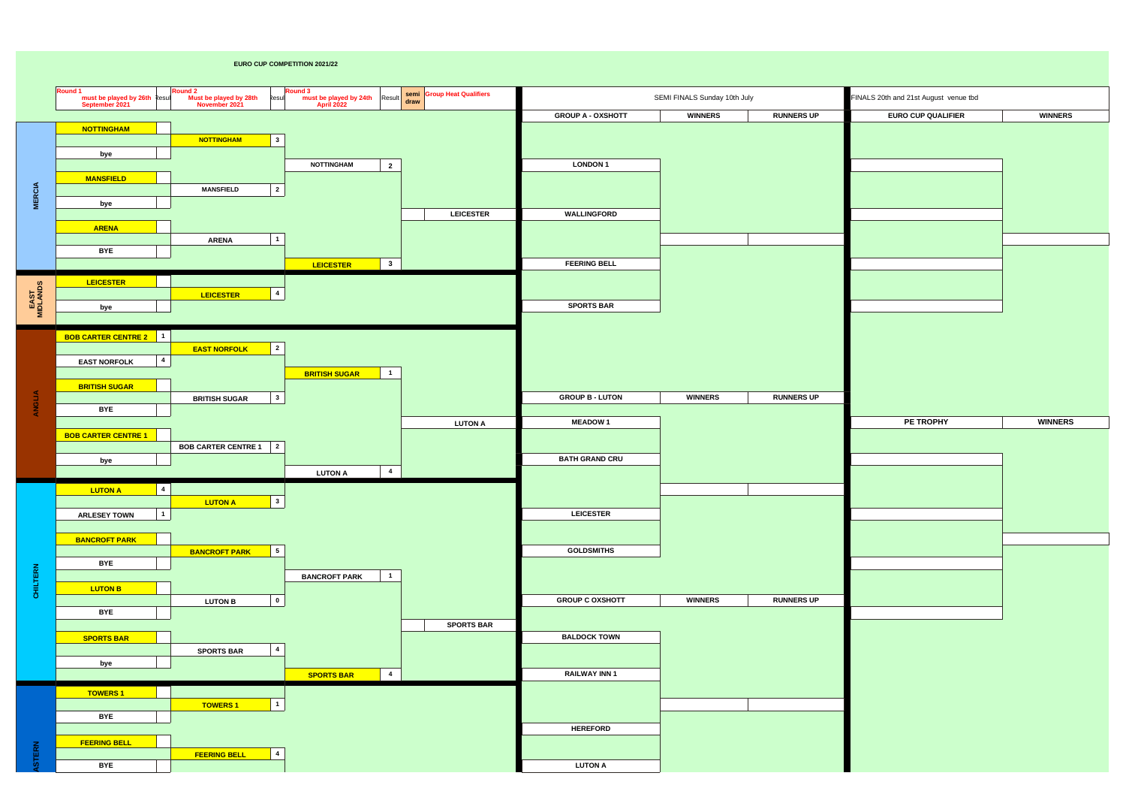## **EURO CUP COMPETITION 2021/22**

|                  | Round 1<br>must be played by 26th Result<br>September 2021 | Round 2<br>Must be played by 28th<br>November 2021<br>Resul | Round 3<br>must be played by 24th Result Semi Group Heat Qualifiers<br>April 2022 |                   |                          | SEMI FINALS Sunday 10th July |                   | FINALS 20th and 21st August venue tbd |                |
|------------------|------------------------------------------------------------|-------------------------------------------------------------|-----------------------------------------------------------------------------------|-------------------|--------------------------|------------------------------|-------------------|---------------------------------------|----------------|
|                  |                                                            |                                                             |                                                                                   |                   | <b>GROUP A - OXSHOTT</b> | <b>WINNERS</b>               | <b>RUNNERS UP</b> | <b>EURO CUP QUALIFIER</b>             | <b>WINNERS</b> |
|                  | <b>NOTTINGHAM</b>                                          |                                                             |                                                                                   |                   |                          |                              |                   |                                       |                |
|                  |                                                            | $\mathbf{3}$<br><b>NOTTINGHAM</b>                           |                                                                                   |                   |                          |                              |                   |                                       |                |
|                  | bye                                                        |                                                             | <b>NOTTINGHAM</b>                                                                 |                   | <b>LONDON 1</b>          |                              |                   |                                       |                |
|                  | <b>MANSFIELD</b>                                           |                                                             | $\overline{2}$                                                                    |                   |                          |                              |                   |                                       |                |
|                  |                                                            | $\overline{2}$<br><b>MANSFIELD</b>                          |                                                                                   |                   |                          |                              |                   |                                       |                |
| <b>MERCIA</b>    | bye                                                        |                                                             |                                                                                   |                   |                          |                              |                   |                                       |                |
|                  |                                                            |                                                             |                                                                                   | <b>LEICESTER</b>  | WALLINGFORD              |                              |                   |                                       |                |
|                  | <b>ARENA</b>                                               | $\mathbf{1}$<br><b>ARENA</b>                                |                                                                                   |                   |                          |                              |                   |                                       |                |
|                  | <b>BYE</b>                                                 |                                                             |                                                                                   |                   |                          |                              |                   |                                       |                |
|                  |                                                            |                                                             | $\overline{\mathbf{3}}$<br>LEICESTER                                              |                   | <b>FEERING BELL</b>      |                              |                   |                                       |                |
|                  | <b>LEICESTER</b>                                           |                                                             |                                                                                   |                   |                          |                              |                   |                                       |                |
| EAST<br>MIDLANDS |                                                            | $\overline{4}$<br><b>LEICESTER</b>                          |                                                                                   |                   |                          |                              |                   |                                       |                |
|                  | bye                                                        |                                                             |                                                                                   |                   | <b>SPORTS BAR</b>        |                              |                   |                                       |                |
|                  |                                                            |                                                             |                                                                                   |                   |                          |                              |                   |                                       |                |
|                  | <b>BOB CARTER CENTRE 2</b> 1                               |                                                             |                                                                                   |                   |                          |                              |                   |                                       |                |
|                  | $\overline{a}$                                             | $\overline{\mathbf{2}}$<br><b>EAST NORFOLK</b>              |                                                                                   |                   |                          |                              |                   |                                       |                |
|                  | <b>EAST NORFOLK</b>                                        |                                                             | $\blacksquare$<br><b>BRITISH SUGAR</b>                                            |                   |                          |                              |                   |                                       |                |
|                  | <b>BRITISH SUGAR</b>                                       |                                                             |                                                                                   |                   |                          |                              |                   |                                       |                |
| <b>ANGLIA</b>    |                                                            | $\mathbf{3}$<br><b>BRITISH SUGAR</b>                        |                                                                                   |                   | <b>GROUP B - LUTON</b>   | <b>WINNERS</b>               | <b>RUNNERS UP</b> |                                       |                |
|                  | <b>BYE</b>                                                 |                                                             |                                                                                   |                   |                          |                              |                   |                                       |                |
|                  | <b>BOB CARTER CENTRE 1</b>                                 |                                                             |                                                                                   | <b>LUTON A</b>    | <b>MEADOW1</b>           |                              |                   | PE TROPHY                             | <b>WINNERS</b> |
|                  |                                                            | <b>BOB CARTER CENTRE 1</b> 2                                |                                                                                   |                   |                          |                              |                   |                                       |                |
|                  | bye                                                        |                                                             |                                                                                   |                   | <b>BATH GRAND CRU</b>    |                              |                   |                                       |                |
|                  |                                                            |                                                             | $\overline{\mathbf{4}}$<br><b>LUTON A</b>                                         |                   |                          |                              |                   |                                       |                |
|                  | $\overline{4}$<br><b>LUTON A</b>                           |                                                             |                                                                                   |                   |                          |                              |                   |                                       |                |
|                  |                                                            | $\mathbf{3}$<br><b>LUTON A</b>                              |                                                                                   |                   |                          |                              |                   |                                       |                |
|                  | $\vert$ 1<br><b>ARLESEY TOWN</b>                           |                                                             |                                                                                   |                   | <b>LEICESTER</b>         |                              |                   |                                       |                |
|                  | <b>BANCROFT PARK</b>                                       |                                                             |                                                                                   |                   |                          |                              |                   |                                       |                |
|                  |                                                            | $5\phantom{.0}$<br><b>BANCROFT PARK</b>                     |                                                                                   |                   | <b>GOLDSMITHS</b>        |                              |                   |                                       |                |
|                  | <b>BYE</b>                                                 |                                                             |                                                                                   |                   |                          |                              |                   |                                       |                |
| <b>CHILTERN</b>  |                                                            |                                                             | $\mathbf{1}$<br><b>BANCROFT PARK</b>                                              |                   |                          |                              |                   |                                       |                |
|                  | <b>LUTON B</b>                                             | $\mathbf 0$<br><b>LUTON B</b>                               |                                                                                   |                   | <b>GROUP C OXSHOTT</b>   | <b>WINNERS</b>               | <b>RUNNERS UP</b> |                                       |                |
|                  | <b>BYE</b>                                                 |                                                             |                                                                                   |                   |                          |                              |                   |                                       |                |
|                  |                                                            |                                                             |                                                                                   | <b>SPORTS BAR</b> |                          |                              |                   |                                       |                |
|                  | <b>SPORTS BAR</b>                                          |                                                             |                                                                                   |                   | <b>BALDOCK TOWN</b>      |                              |                   |                                       |                |
|                  |                                                            | $\overline{4}$<br><b>SPORTS BAR</b>                         |                                                                                   |                   |                          |                              |                   |                                       |                |
|                  | bye                                                        |                                                             | $\overline{\mathbf{4}}$<br><b>SPORTS BAR</b>                                      |                   | <b>RAILWAY INN 1</b>     |                              |                   |                                       |                |
|                  | <b>TOWERS 1</b>                                            |                                                             |                                                                                   |                   |                          |                              |                   |                                       |                |
|                  |                                                            | $\mathbf{1}$<br><b>TOWERS 1</b>                             |                                                                                   |                   |                          |                              |                   |                                       |                |
|                  | <b>BYE</b>                                                 |                                                             |                                                                                   |                   |                          |                              |                   |                                       |                |
|                  |                                                            |                                                             |                                                                                   |                   | <b>HEREFORD</b>          |                              |                   |                                       |                |
|                  | <b>FEERING BELL</b>                                        |                                                             |                                                                                   |                   |                          |                              |                   |                                       |                |
| <b>STERN</b>     | <b>BYE</b>                                                 | $\overline{\mathbf{4}}$<br><b>FEERING BELL</b>              |                                                                                   |                   | <b>LUTON A</b>           |                              |                   |                                       |                |
|                  |                                                            |                                                             |                                                                                   |                   |                          |                              |                   |                                       |                |

| FINALS 20th and 21st August venue tbd |                |
|---------------------------------------|----------------|
| <b>EURO CUP QUALIFIER</b>             | <b>WINNERS</b> |
|                                       |                |
|                                       |                |
|                                       |                |
|                                       |                |
|                                       |                |
|                                       |                |
|                                       |                |
|                                       |                |
|                                       |                |
|                                       |                |
|                                       |                |
|                                       |                |
|                                       |                |
|                                       |                |
|                                       |                |
|                                       |                |
| PE TROPHY                             | <b>WINNERS</b> |
|                                       |                |
|                                       |                |
|                                       |                |
|                                       |                |
|                                       |                |
|                                       |                |
|                                       |                |
|                                       |                |
|                                       |                |
|                                       |                |
|                                       |                |
|                                       |                |
|                                       |                |
|                                       |                |
|                                       |                |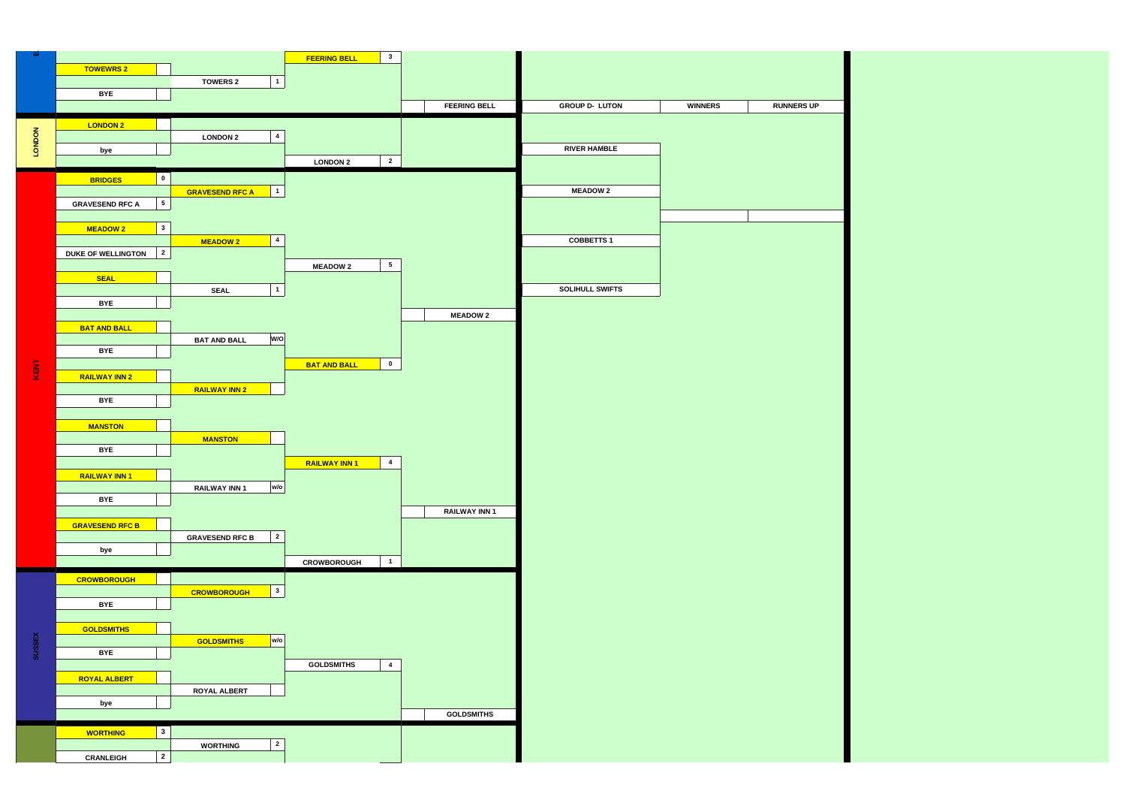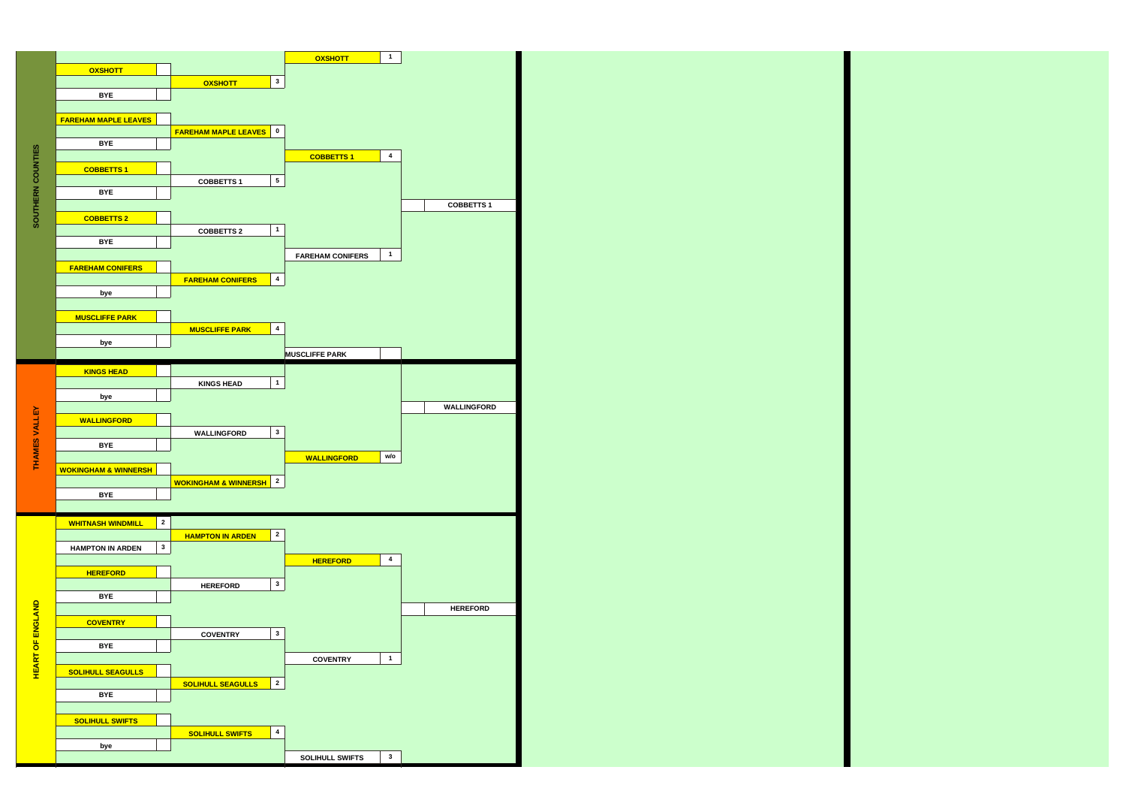